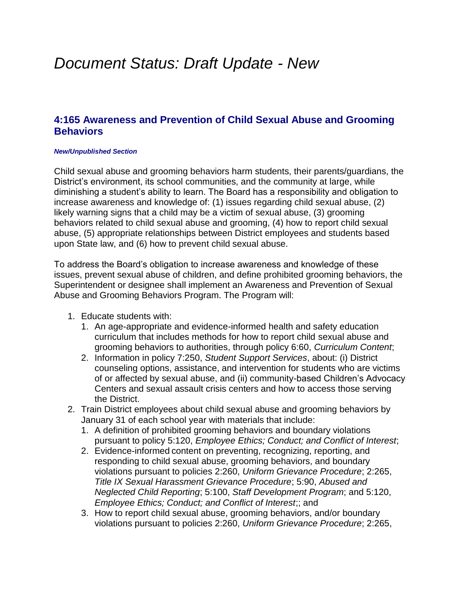## *Document Status: Draft Update - New*

## **4:165 Awareness and Prevention of Child Sexual Abuse and Grooming Behaviors**

## *New/Unpublished Section*

Child sexual abuse and grooming behaviors harm students, their parents/guardians, the District's environment, its school communities, and the community at large, while diminishing a student's ability to learn. The Board has a responsibility and obligation to increase awareness and knowledge of: (1) issues regarding child sexual abuse, (2) likely warning signs that a child may be a victim of sexual abuse, (3) grooming behaviors related to child sexual abuse and grooming, (4) how to report child sexual abuse, (5) appropriate relationships between District employees and students based upon State law, and (6) how to prevent child sexual abuse.

To address the Board's obligation to increase awareness and knowledge of these issues, prevent sexual abuse of children, and define prohibited grooming behaviors, the Superintendent or designee shall implement an Awareness and Prevention of Sexual Abuse and Grooming Behaviors Program. The Program will:

- 1. Educate students with:
	- 1. An age-appropriate and evidence-informed health and safety education curriculum that includes methods for how to report child sexual abuse and grooming behaviors to authorities, through policy 6:60, *Curriculum Content*;
	- 2. Information in policy 7:250, *Student Support Services*, about: (i) District counseling options, assistance, and intervention for students who are victims of or affected by sexual abuse, and (ii) community-based Children's Advocacy Centers and sexual assault crisis centers and how to access those serving the District.
- 2. Train District employees about child sexual abuse and grooming behaviors by January 31 of each school year with materials that include:
	- 1. A definition of prohibited grooming behaviors and boundary violations pursuant to policy 5:120, *Employee Ethics; Conduct; and Conflict of Interest*;
	- 2. Evidence-informed content on preventing, recognizing, reporting, and responding to child sexual abuse, grooming behaviors, and boundary violations pursuant to policies 2:260, *Uniform Grievance Procedure*; 2:265, *Title IX Sexual Harassment Grievance Procedure*; 5:90, *Abused and Neglected Child Reporting*; 5:100, *Staff Development Program*; and 5:120, *Employee Ethics; Conduct; and Conflict of Interest*;; and
	- 3. How to report child sexual abuse, grooming behaviors, and/or boundary violations pursuant to policies 2:260, *Uniform Grievance Procedure*; 2:265,